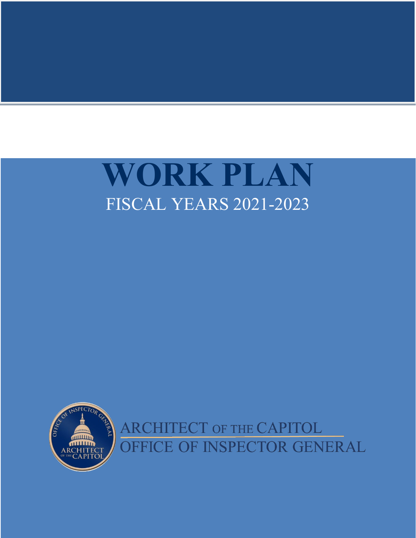

<span id="page-0-0"></span>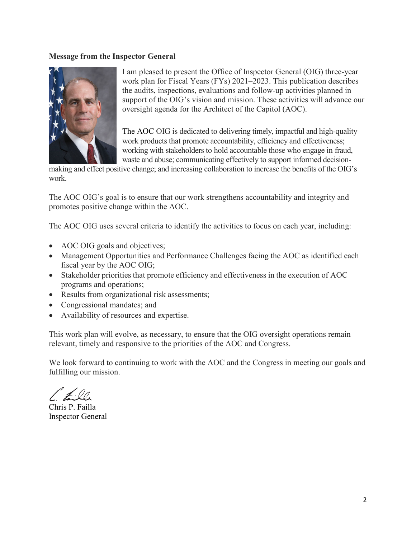#### **Message from the Inspector General**



I am pleased to present the Office of Inspector General (OIG) three-year work plan for Fiscal Years (FYs) 2021–2023. This publication describes the audits, inspections, evaluations and follow-up activities planned in support of the OIG's vision and mission. These activities will advance our oversight agenda for the Architect of the Capitol (AOC).

The AOC OIG is dedicated to delivering timely, impactful and high-quality work products that promote accountability, efficiency and effectiveness; working with stakeholders to hold accountable those who engage in fraud, waste and abuse; communicating effectively to support informed decision-

making and effect positive change; and increasing collaboration to increase the benefits of the OIG's work.

The AOC OIG's goal is to ensure that our work strengthens accountability and integrity and promotes positive change within the AOC.

The AOC OIG uses several criteria to identify the activities to focus on each year, including:

- AOC OIG goals and objectives;
- Management Opportunities and Performance Challenges facing the AOC as identified each fiscal year by the AOC OIG;
- Stakeholder priorities that promote efficiency and effectiveness in the execution of AOC programs and operations;
- Results from organizational risk assessments;
- Congressional mandates; and
- Availability of resources and expertise.

This work plan will evolve, as necessary, to ensure that the OIG oversight operations remain relevant, timely and responsive to the priorities of the AOC and Congress.

We look forward to continuing to work with the AOC and the Congress in meeting our goals and fulfilling our mission.

 $\neq \varnothing$ 

Chris P. Failla Inspector General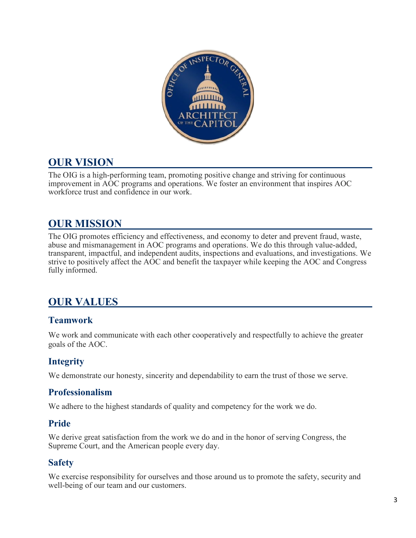

## **OUR VISION**

The OIG is a high-performing team, promoting positive change and striving for continuous improvement in AOC programs and operations. We foster an environment that inspires AOC workforce trust and confidence in our work.

# **OUR MISSION**

The OIG promotes efficiency and effectiveness, and economy to deter and prevent fraud, waste, abuse and mismanagement in AOC programs and operations. We do this through value-added, transparent, impactful, and independent audits, inspections and evaluations, and investigations. We strive to positively affect the AOC and benefit the taxpayer while keeping the AOC and Congress fully informed.

# **OUR VALUES**

## **Teamwork**

We work and communicate with each other cooperatively and respectfully to achieve the greater goals of the AOC.

## **Integrity**

We demonstrate our honesty, sincerity and dependability to earn the trust of those we serve.

### **Professionalism**

We adhere to the highest standards of quality and competency for the work we do.

## **Pride**

We derive great satisfaction from the work we do and in the honor of serving Congress, the Supreme Court, and the American people every day.

## **Safety**

We exercise responsibility for ourselves and those around us to promote the safety, security and well-being of our team and our customers.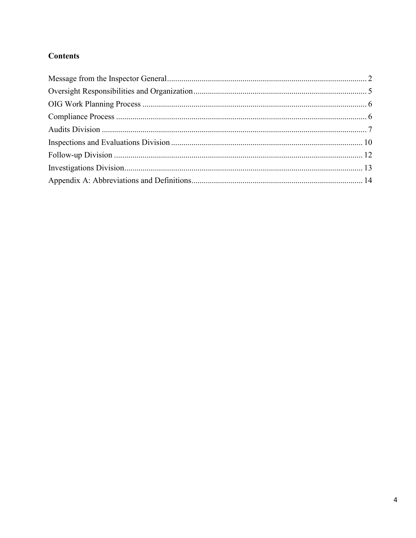### **Contents**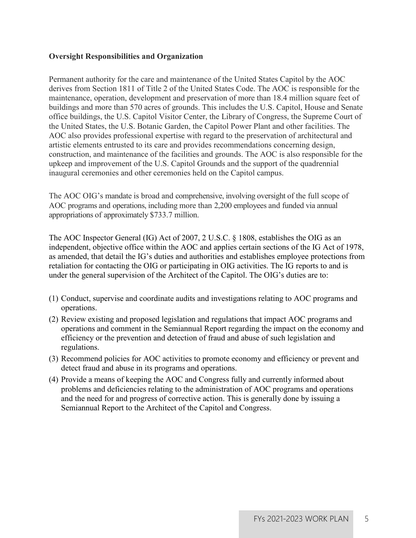#### <span id="page-4-0"></span>**Oversight Responsibilities and Organization**

Permanent authority for the care and maintenance of the United States Capitol by the AOC derives from Section 1811 of Title 2 of the United States Code. The AOC is responsible for the maintenance, operation, development and preservation of more than 18.4 million square feet of buildings and more than 570 acres of grounds. This includes the U.S. Capitol, House and Senate office buildings, the U.S. Capitol Visitor Center, the Library of Congress, the Supreme Court of the United States, the U.S. Botanic Garden, the Capitol Power Plant and other facilities. The AOC also provides professional expertise with regard to the preservation of architectural and artistic elements entrusted to its care and provides recommendations concerning design, construction, and maintenance of the facilities and grounds. The AOC is also responsible for the upkeep and improvement of the U.S. Capitol Grounds and the support of the quadrennial inaugural ceremonies and other ceremonies held on the Capitol campus.

The AOC OIG's mandate is broad and comprehensive, involving oversight of the full scope of AOC programs and operations, including more than 2,200 employees and funded via annual appropriations of approximately \$733.7 million.

The AOC Inspector General (IG) Act of 2007, 2 U.S.C. § 1808, establishes the OIG as an independent, objective office within the AOC and applies certain sections of the IG Act of 1978, as amended, that detail the IG's duties and authorities and establishes employee protections from retaliation for contacting the OIG or participating in OIG activities. The IG reports to and is under the general supervision of the Architect of the Capitol. The OIG's duties are to:

- (1) Conduct, supervise and coordinate audits and investigations relating to AOC programs and operations.
- (2) Review existing and proposed legislation and regulations that impact AOC programs and operations and comment in the Semiannual Report regarding the impact on the economy and efficiency or the prevention and detection of fraud and abuse of such legislation and regulations.
- (3) Recommend policies for AOC activities to promote economy and efficiency or prevent and detect fraud and abuse in its programs and operations.
- (4) Provide a means of keeping the AOC and Congress fully and currently informed about problems and deficiencies relating to the administration of AOC programs and operations and the need for and progress of corrective action. This is generally done by issuing a Semiannual Report to the Architect of the Capitol and Congress.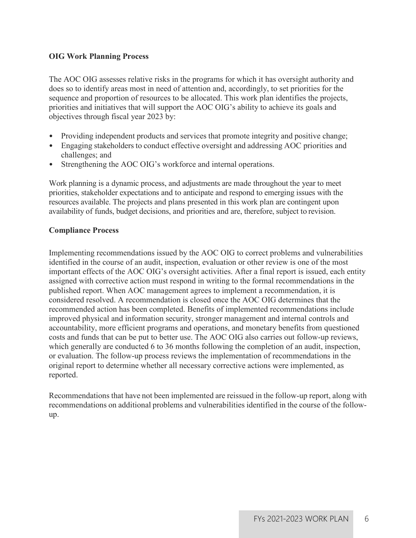#### <span id="page-5-0"></span>**OIG Work Planning Process**

The AOC OIG assesses relative risks in the programs for which it has oversight authority and does so to identify areas most in need of attention and, accordingly, to set priorities for the sequence and proportion of resources to be allocated. This work plan identifies the projects, priorities and initiatives that will support the AOC OIG's ability to achieve its goals and objectives through fiscal year 2023 by:

- Providing independent products and services that promote integrity and positive change;
- Engaging stakeholders to conduct effective oversight and addressing AOC priorities and challenges; and
- Strengthening the AOC OIG's workforce and internal operations.

Work planning is a dynamic process, and adjustments are made throughout the year to meet priorities, stakeholder expectations and to anticipate and respond to emerging issues with the resources available. The projects and plans presented in this work plan are contingent upon availability of funds, budget decisions, and priorities and are, therefore, subject to revision.

#### <span id="page-5-1"></span>**Compliance Process**

Implementing recommendations issued by the AOC OIG to correct problems and vulnerabilities identified in the course of an audit, inspection, evaluation or other review is one of the most important effects of the AOC OIG's oversight activities. After a final report is issued, each entity assigned with corrective action must respond in writing to the formal recommendations in the published report. When AOC management agrees to implement a recommendation, it is considered resolved. A recommendation is closed once the AOC OIG determines that the recommended action has been completed. Benefits of implemented recommendations include improved physical and information security, stronger management and internal controls and accountability, more efficient programs and operations, and monetary benefits from questioned costs and funds that can be put to better use. The AOC OIG also carries out follow-up reviews, which generally are conducted 6 to 36 months following the completion of an audit, inspection, or evaluation. The follow-up process reviews the implementation of recommendations in the original report to determine whether all necessary corrective actions were implemented, as reported.

Recommendations that have not been implemented are reissued in the follow-up report, along with recommendations on additional problems and vulnerabilities identified in the course of the followup.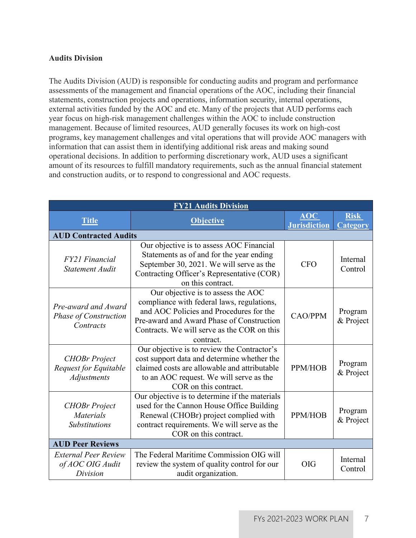#### <span id="page-6-0"></span>**Audits Division**

The Audits Division (AUD) is responsible for conducting audits and program and performance assessments of the management and financial operations of the AOC, including their financial statements, construction projects and operations, information security, internal operations, external activities funded by the AOC and etc. Many of the projects that AUD performs each year focus on high-risk management challenges within the AOC to include construction management. Because of limited resources, AUD generally focuses its work on high-cost programs, key management challenges and vital operations that will provide AOC managers with information that can assist them in identifying additional risk areas and making sound operational decisions. In addition to performing discretionary work, AUD uses a significant amount of its resources to fulfill mandatory requirements, such as the annual financial statement and construction audits, or to respond to congressional and AOC requests.

| <b>FY21 Audits Division</b>                                         |                                                                                                                                                                                                                                      |                            |                                |
|---------------------------------------------------------------------|--------------------------------------------------------------------------------------------------------------------------------------------------------------------------------------------------------------------------------------|----------------------------|--------------------------------|
| <b>Title</b>                                                        | <b>Objective</b>                                                                                                                                                                                                                     | AOC<br><b>Jurisdiction</b> | <b>Risk</b><br><b>Category</b> |
| <b>AUD Contracted Audits</b>                                        |                                                                                                                                                                                                                                      |                            |                                |
| <b>FY21 Financial</b><br><b>Statement Audit</b>                     | Our objective is to assess AOC Financial<br>Statements as of and for the year ending<br>September 30, 2021. We will serve as the<br>Contracting Officer's Representative (COR)<br>on this contract.                                  | <b>CFO</b>                 | Internal<br>Control            |
| Pre-award and Award<br><b>Phase of Construction</b><br>Contracts    | Our objective is to assess the AOC<br>compliance with federal laws, regulations,<br>and AOC Policies and Procedures for the<br>Pre-award and Award Phase of Construction<br>Contracts. We will serve as the COR on this<br>contract. | <b>CAO/PPM</b>             | Program<br>& Project           |
| <b>CHOBr</b> Project<br>Request for Equitable<br><b>Adjustments</b> | Our objective is to review the Contractor's<br>cost support data and determine whether the<br>claimed costs are allowable and attributable<br>to an AOC request. We will serve as the<br>COR on this contract.                       | PPM/HOB                    | Program<br>& Project           |
| <b>CHOBr</b> Project<br><b>Materials</b><br><b>Substitutions</b>    | Our objective is to determine if the materials<br>used for the Cannon House Office Building<br>Renewal (CHOBr) project complied with<br>contract requirements. We will serve as the<br>COR on this contract.                         | PPM/HOB                    | Program<br>& Project           |
| <b>AUD Peer Reviews</b>                                             |                                                                                                                                                                                                                                      |                            |                                |
| <b>External Peer Review</b><br>of AOC OIG Audit<br>Division         | The Federal Maritime Commission OIG will<br>review the system of quality control for our<br>audit organization.                                                                                                                      | <b>OIG</b>                 | Internal<br>Control            |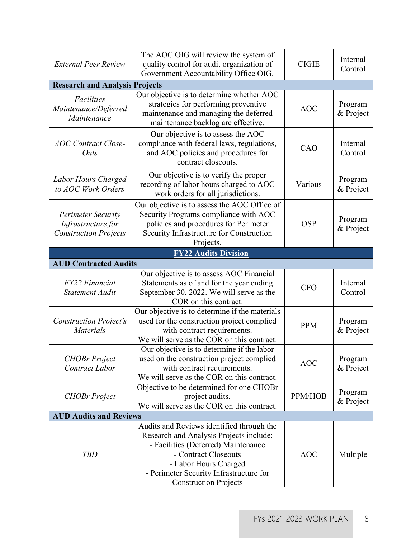| <b>External Peer Review</b>                                                     | The AOC OIG will review the system of<br>quality control for audit organization of<br>Government Accountability Office OIG.                                                                                                                             | <b>CIGIE</b> | Internal<br>Control  |
|---------------------------------------------------------------------------------|---------------------------------------------------------------------------------------------------------------------------------------------------------------------------------------------------------------------------------------------------------|--------------|----------------------|
| <b>Research and Analysis Projects</b>                                           |                                                                                                                                                                                                                                                         |              |                      |
| <b>Facilities</b><br>Maintenance/Deferred<br>Maintenance                        | Our objective is to determine whether AOC<br>strategies for performing preventive<br>maintenance and managing the deferred<br>maintenance backlog are effective.                                                                                        | <b>AOC</b>   | Program<br>& Project |
| <b>AOC</b> Contract Close-<br>Outs                                              | Our objective is to assess the AOC<br>compliance with federal laws, regulations,<br>and AOC policies and procedures for<br>contract closeouts.                                                                                                          | CAO          | Internal<br>Control  |
| Labor Hours Charged<br>to AOC Work Orders                                       | Our objective is to verify the proper<br>recording of labor hours charged to AOC<br>work orders for all jurisdictions.                                                                                                                                  | Various      | Program<br>& Project |
| <b>Perimeter Security</b><br>Infrastructure for<br><b>Construction Projects</b> | Our objective is to assess the AOC Office of<br>Security Programs compliance with AOC<br>policies and procedures for Perimeter<br>Security Infrastructure for Construction<br>Projects.                                                                 | <b>OSP</b>   | Program<br>& Project |
|                                                                                 | <b>FY22 Audits Division</b>                                                                                                                                                                                                                             |              |                      |
| <b>AUD Contracted Audits</b>                                                    |                                                                                                                                                                                                                                                         |              |                      |
| <b>FY22 Financial</b><br><b>Statement Audit</b>                                 | Our objective is to assess AOC Financial<br>Statements as of and for the year ending<br>September 30, 2022. We will serve as the<br>COR on this contract.                                                                                               | <b>CFO</b>   | Internal<br>Control  |
| <b>Construction Project's</b><br><b>Materials</b>                               | Our objective is to determine if the materials<br>used for the construction project complied<br>with contract requirements.<br>We will serve as the COR on this contract.                                                                               | <b>PPM</b>   | Program<br>& Project |
| <b>CHOBr</b> Project<br><b>Contract Labor</b>                                   | Our objective is to determine if the labor<br>used on the construction project complied<br>with contract requirements.<br>We will serve as the COR on this contract.                                                                                    | <b>AOC</b>   | Program<br>& Project |
| <b>CHOBr</b> Project                                                            | Objective to be determined for one CHOBr<br>project audits.<br>We will serve as the COR on this contract.                                                                                                                                               | PPM/HOB      | Program<br>& Project |
| <b>AUD Audits and Reviews</b>                                                   |                                                                                                                                                                                                                                                         |              |                      |
| <b>TBD</b>                                                                      | Audits and Reviews identified through the<br>Research and Analysis Projects include:<br>- Facilities (Deferred) Maintenance<br>- Contract Closeouts<br>- Labor Hours Charged<br>- Perimeter Security Infrastructure for<br><b>Construction Projects</b> | <b>AOC</b>   | Multiple             |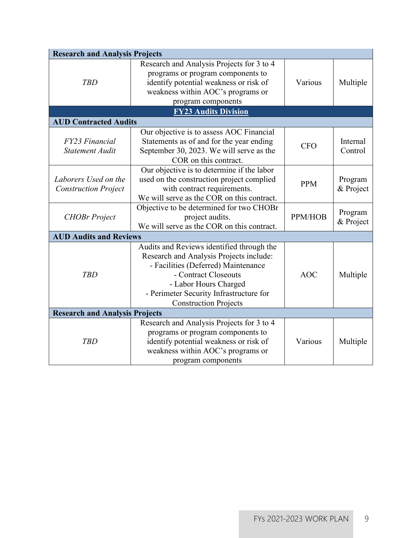<span id="page-8-0"></span>

| <b>Research and Analysis Projects</b> |                                            |            |           |
|---------------------------------------|--------------------------------------------|------------|-----------|
|                                       | Research and Analysis Projects for 3 to 4  |            |           |
|                                       | programs or program components to          |            |           |
| <b>TBD</b>                            | identify potential weakness or risk of     | Various    | Multiple  |
|                                       | weakness within AOC's programs or          |            |           |
|                                       | program components                         |            |           |
|                                       | <b>FY23 Audits Division</b>                |            |           |
| <b>AUD Contracted Audits</b>          |                                            |            |           |
|                                       | Our objective is to assess AOC Financial   |            |           |
| FY23 Financial                        | Statements as of and for the year ending   | <b>CFO</b> | Internal  |
| <b>Statement Audit</b>                | September 30, 2023. We will serve as the   |            | Control   |
|                                       | COR on this contract.                      |            |           |
|                                       | Our objective is to determine if the labor |            |           |
| Laborers Used on the                  | used on the construction project complied  | <b>PPM</b> | Program   |
| <b>Construction Project</b>           | with contract requirements.                |            | & Project |
|                                       | We will serve as the COR on this contract. |            |           |
|                                       | Objective to be determined for two CHOBr   |            | Program   |
| <b>CHOBr</b> Project                  | project audits.                            | PPM/HOB    | & Project |
|                                       | We will serve as the COR on this contract. |            |           |
| <b>AUD Audits and Reviews</b>         |                                            |            |           |
|                                       | Audits and Reviews identified through the  |            |           |
|                                       | Research and Analysis Projects include:    |            |           |
|                                       | - Facilities (Deferred) Maintenance        |            |           |
| <b>TBD</b>                            | - Contract Closeouts                       | <b>AOC</b> | Multiple  |
|                                       | - Labor Hours Charged                      |            |           |
|                                       | - Perimeter Security Infrastructure for    |            |           |
|                                       | <b>Construction Projects</b>               |            |           |
| <b>Research and Analysis Projects</b> |                                            |            |           |
|                                       | Research and Analysis Projects for 3 to 4  |            |           |
|                                       | programs or program components to          |            |           |
| <b>TBD</b>                            | identify potential weakness or risk of     | Various    | Multiple  |
|                                       | weakness within AOC's programs or          |            |           |
|                                       | program components                         |            |           |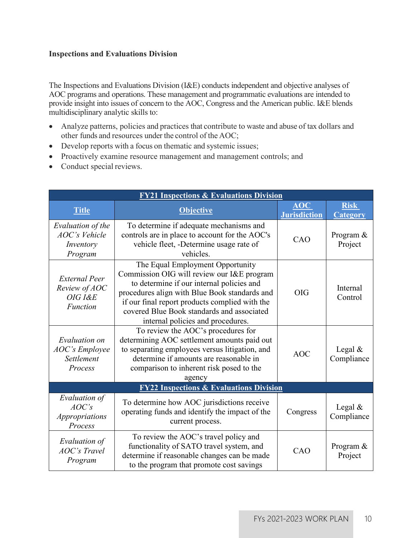#### **Inspections and Evaluations Division**

The Inspections and Evaluations Division (I&E) conducts independent and objective analyses of AOC programs and operations. These management and programmatic evaluations are intended to provide insight into issues of concern to the AOC, Congress and the American public. I&E blends multidisciplinary analytic skills to:

- Analyze patterns, policies and practices that contribute to waste and abuse of tax dollars and other funds and resources under the control of the AOC;
- Develop reports with a focus on thematic and systemic issues;
- Proactively examine resource management and management controls; and
- <span id="page-9-0"></span>• Conduct special reviews.

| <b>FY21 Inspections &amp; Evaluations Division</b>                  |                                                                                                                                                                                                                                                                                                                   |                                       |                                |
|---------------------------------------------------------------------|-------------------------------------------------------------------------------------------------------------------------------------------------------------------------------------------------------------------------------------------------------------------------------------------------------------------|---------------------------------------|--------------------------------|
| <b>Title</b>                                                        | <b>Objective</b>                                                                                                                                                                                                                                                                                                  | $\triangle$ OC<br><b>Jurisdiction</b> | <b>Risk</b><br><b>Category</b> |
| Evaluation of the<br>AOC's Vehicle<br>Inventory<br>Program          | To determine if adequate mechanisms and<br>controls are in place to account for the AOC's<br>vehicle fleet, -Determine usage rate of<br>vehicles.                                                                                                                                                                 | CAO                                   | Program &<br>Project           |
| <b>External Peer</b><br>Review of AOC<br>OIG I&E<br><b>Function</b> | The Equal Employment Opportunity<br>Commission OIG will review our I&E program<br>to determine if our internal policies and<br>procedures align with Blue Book standards and<br>if our final report products complied with the<br>covered Blue Book standards and associated<br>internal policies and procedures. | <b>OIG</b>                            | Internal<br>Control            |
| Evaluation on<br><b>AOC's Employee</b><br>Settlement<br>Process     | To review the AOC's procedures for<br>determining AOC settlement amounts paid out<br>to separating employees versus litigation, and<br>determine if amounts are reasonable in<br>comparison to inherent risk posed to the<br>agency                                                                               | <b>AOC</b>                            | Legal $&$<br>Compliance        |
| <b>FY22 Inspections &amp; Evaluations Division</b>                  |                                                                                                                                                                                                                                                                                                                   |                                       |                                |
| Evaluation of<br>AOC's<br><i>Appropriations</i><br>Process          | To determine how AOC jurisdictions receive<br>operating funds and identify the impact of the<br>current process.                                                                                                                                                                                                  | Congress                              | Legal $&$<br>Compliance        |
| Evaluation of<br><b>AOC's Travel</b><br>Program                     | To review the AOC's travel policy and<br>functionality of SATO travel system, and<br>determine if reasonable changes can be made<br>to the program that promote cost savings                                                                                                                                      | CAO                                   | Program &<br>Project           |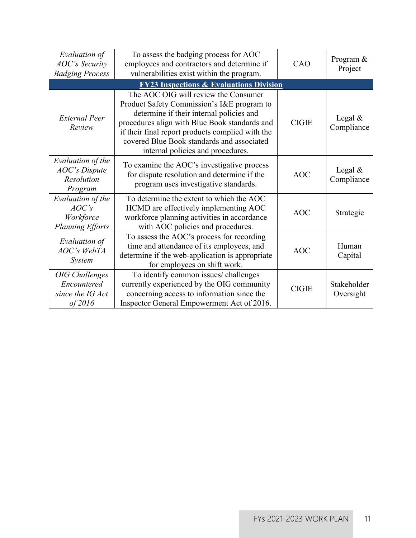| Evaluation of<br><b>AOC's Security</b><br><b>Badging Process</b>    | To assess the badging process for AOC<br>employees and contractors and determine if<br>vulnerabilities exist within the program.                                                                                                                                                                                       | CAO          | Program &<br>Project     |
|---------------------------------------------------------------------|------------------------------------------------------------------------------------------------------------------------------------------------------------------------------------------------------------------------------------------------------------------------------------------------------------------------|--------------|--------------------------|
|                                                                     | <b>FY23 Inspections &amp; Evaluations Division</b>                                                                                                                                                                                                                                                                     |              |                          |
| <b>External Peer</b><br>Review                                      | The AOC OIG will review the Consumer<br>Product Safety Commission's I&E program to<br>determine if their internal policies and<br>procedures align with Blue Book standards and<br>if their final report products complied with the<br>covered Blue Book standards and associated<br>internal policies and procedures. | <b>CIGIE</b> | Legal $&$<br>Compliance  |
| Evaluation of the<br><b>AOC's Dispute</b><br>Resolution<br>Program  | To examine the AOC's investigative process<br>for dispute resolution and determine if the<br>program uses investigative standards.                                                                                                                                                                                     | <b>AOC</b>   | Legal $&$<br>Compliance  |
| Evaluation of the<br>AOC's<br>Workforce<br><b>Planning Efforts</b>  | To determine the extent to which the AOC<br>HCMD are effectively implementing AOC<br>workforce planning activities in accordance<br>with AOC policies and procedures.                                                                                                                                                  | <b>AOC</b>   | Strategic                |
| Evaluation of<br>AOC's WebTA<br><i>System</i>                       | To assess the AOC's process for recording<br>time and attendance of its employees, and<br>determine if the web-application is appropriate<br>for employees on shift work.                                                                                                                                              | <b>AOC</b>   | Human<br>Capital         |
| <b>OIG</b> Challenges<br>Encountered<br>since the IG Act<br>of 2016 | To identify common issues/ challenges<br>currently experienced by the OIG community<br>concerning access to information since the<br>Inspector General Empowerment Act of 2016.                                                                                                                                        | <b>CIGIE</b> | Stakeholder<br>Oversight |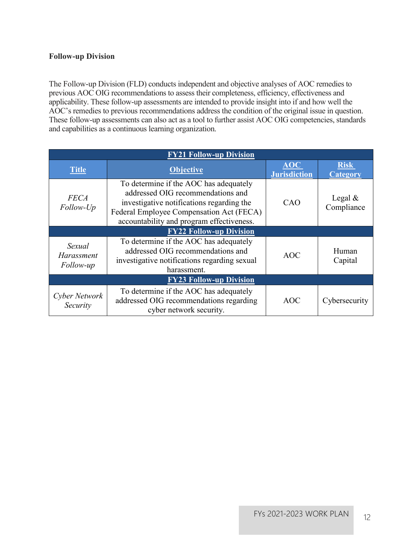#### **Follow-up Division**

The Follow-up Division (FLD) conducts independent and objective analyses of AOC remedies to previous AOC OIG recommendations to assess their completeness, efficiency, effectiveness and applicability. These follow-up assessments are intended to provide insight into if and how well the AOC's remedies to previous recommendations address the condition of the original issue in question. These follow-up assessments can also act as a tool to further assist AOC OIG competencies, standards and capabilities as a continuous learning organization.

| <b>FY21 Follow-up Division</b>    |                                                                                                                                                                                                                   |                                   |                          |
|-----------------------------------|-------------------------------------------------------------------------------------------------------------------------------------------------------------------------------------------------------------------|-----------------------------------|--------------------------|
| Title                             | <b>Objective</b>                                                                                                                                                                                                  | <b>AOC</b><br><b>Jurisdiction</b> | <b>Risk</b><br>Category  |
| <b>FECA</b><br>Follow-Up          | To determine if the AOC has adequately<br>addressed OIG recommendations and<br>investigative notifications regarding the<br>Federal Employee Compensation Act (FECA)<br>accountability and program effectiveness. | CAO                               | Legal $\&$<br>Compliance |
| <b>FY22 Follow-up Division</b>    |                                                                                                                                                                                                                   |                                   |                          |
| Sexual<br>Harassment<br>Follow-up | To determine if the AOC has adequately<br>addressed OIG recommendations and<br>investigative notifications regarding sexual<br>harassment.                                                                        | <b>AOC</b>                        | Human<br>Capital         |
| <b>FY23 Follow-up Division</b>    |                                                                                                                                                                                                                   |                                   |                          |
| Cyber Network<br>Security         | To determine if the AOC has adequately<br>addressed OIG recommendations regarding<br>cyber network security.                                                                                                      | AOC.                              | Cybersecurity            |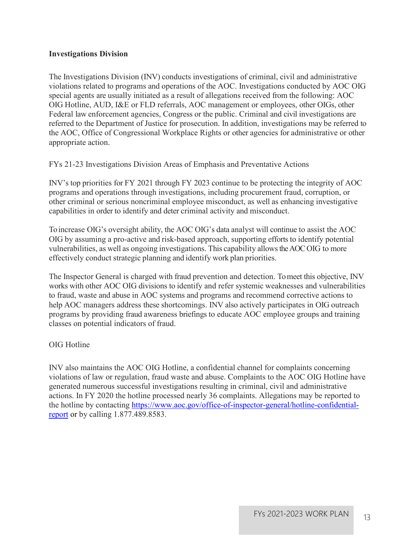#### **Investigations Division**

The Investigations Division (INV) conducts investigations of criminal, civil and administrative violations related to programs and operations of the AOC. Investigations conducted by AOC OIG special agents are usually initiated as a result of allegations received from the following: AOC OIG Hotline, AUD, I&E or FLD referrals, AOC management or employees, other OIGs, other Federal law enforcement agencies, Congress or the public. Criminal and civil investigations are referred to the Department of Justice for prosecution. In addition, investigations may be referred to the AOC, Office of Congressional Workplace Rights or other agencies for administrative or other appropriate action.

#### FYs 21-23 Investigations Division Areas of Emphasis and Preventative Actions

INV's top priorities for FY 2021 through FY 2023 continue to be protecting the integrity of AOC programs and operations through investigations, including procurement fraud, corruption, or other criminal or serious noncriminal employee misconduct, as well as enhancing investigative capabilities in order to identify and deter criminal activity and misconduct.

<span id="page-12-0"></span>To increase OIG's oversight ability, the AOC OIG's data analyst will continue to assist the AOC OIG by assuming a pro-active and risk-based approach, supporting efforts to identify potential vulnerabilities, as well as ongoing investigations. This capability allowsthe AOC OIG to more effectively conduct strategic planning and identify work plan priorities.

The Inspector General is charged with fraud prevention and detection. To meet this objective, INV works with other AOC OIG divisions to identify and refer systemic weaknesses and vulnerabilities to fraud, waste and abuse in AOC systems and programs and recommend corrective actions to help AOC managers address these shortcomings. INV also actively participates in OIG outreach programs by providing fraud awareness briefings to educate AOC employee groups and training classes on potential indicators of fraud.

#### OIG Hotline

INV also maintains the AOC OIG Hotline, a confidential channel for complaints concerning violations of law or regulation, fraud waste and abuse. Complaints to the AOC OIG Hotline have generated numerous successful investigations resulting in criminal, civil and administrative actions. In FY 2020 the hotline processed nearly 36 complaints. Allegations may be reported to the hotline by contacting [https://www.aoc.gov/office-of-inspector-general/hotline-confidential](https://www.aoc.gov/office-of-inspector-general/hotline-confidential-report)[report](https://www.aoc.gov/office-of-inspector-general/hotline-confidential-report) or by calling 1.877.489.8583.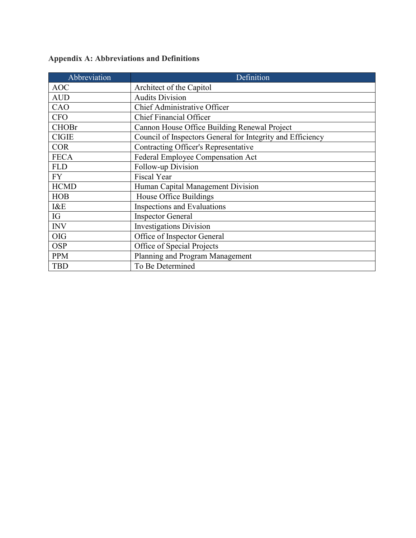| Abbreviation | Definition                                                 |
|--------------|------------------------------------------------------------|
| <b>AOC</b>   | Architect of the Capitol                                   |
| <b>AUD</b>   | <b>Audits Division</b>                                     |
| CAO          | Chief Administrative Officer                               |
| <b>CFO</b>   | <b>Chief Financial Officer</b>                             |
| <b>CHOBr</b> | Cannon House Office Building Renewal Project               |
| <b>CIGIE</b> | Council of Inspectors General for Integrity and Efficiency |
| <b>COR</b>   | <b>Contracting Officer's Representative</b>                |
| <b>FECA</b>  | Federal Employee Compensation Act                          |
| <b>FLD</b>   | Follow-up Division                                         |
| <b>FY</b>    | <b>Fiscal Year</b>                                         |
| <b>HCMD</b>  | Human Capital Management Division                          |
| <b>HOB</b>   | House Office Buildings                                     |
| I&E          | Inspections and Evaluations                                |
| IG           | <b>Inspector General</b>                                   |
| <b>INV</b>   | <b>Investigations Division</b>                             |
| <b>OIG</b>   | Office of Inspector General                                |
| <b>OSP</b>   | Office of Special Projects                                 |
| <b>PPM</b>   | Planning and Program Management                            |
| <b>TBD</b>   | To Be Determined                                           |

## **Appendix A: Abbreviations and Definitions**